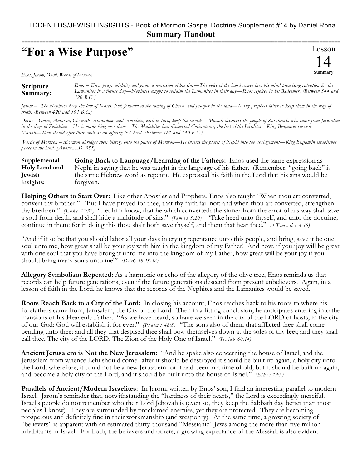## HIDDEN LDS/JEWISH INSIGHTS - Book of Mormon Gospel Doctrine Supplement #14 by Daniel Rona **Summary Handout**

## **"For a Wise Purpose"**

Lesson 14 **Summary** ===========================================================================================================

*Enos, Jarom, Omni, Words of Mormon* 

**Scripture Summary:** =========================================================================================================== *Enos – Enos prays mightily and gains a remission of his sins—The voice of the Lord comes into his mind promising salvation for the Lamanites in a future day—Nephites sought to reclaim the Lamanites in their day—Enos rejoices in his Redeemer. [Between 544 and 420 B.C.]*

*Jarom – The Nephites keep the law of Moses, look forward to the coming of Christ, and prosper in the land—Many prophets labor to keep them in the way of truth. [Between 420 and 361 B.C.]*

*Omni – Omni, Amaron, Chemish, Abinadom, and Amaleki, each in turn, keep the records—Mosiah discovers the people of Zarahemla who came from Jerusalem in the days of Zedekiah—He is made king over them—The Mulekites had discovered Coriantumr, the last of the Jaredites—King Benjamin succeeds Mosiah—Men should offer their souls as an offering to Christ. [Between 361 and 130 B.C.]*

*Words of Mormon – Mormon abridges their history onto the plates of Mormon—He inserts the plates of Nephi into the abridgement—King Benjamin establishes peace in the land. [About A.D. 385]* ===========================================================================================================

**Going Back to Language/Learning of the Fathers:** Enos used the same expression as Nephi in saying that he was taught in the language of his father. (Remember, "going back" is the same Hebrew word as repent). He expressed his faith in the Lord that his sins would be forgiven. **Supplemental Holy Land and Jewish insights:**

**Helping Others to Start Over:** Like other Apostles and Prophets, Enos also taught "When thou art converted, convert thy brother." "But I have prayed for thee, that thy faith fail not: and when thou art converted, strengthen thy brethren." *(Luke 22:32)* "Let him know, that he which converteth the sinner from the error of his way shall save a soul from death, and shall hide a multitude of sins." *(James 5:20)* "Take heed unto thyself, and unto the doctrine; continue in them: for in doing this thou shalt both save thyself, and them that hear thee." *(1 T im o th y 4:16)*

"And if it so be that you should labor all your days in crying repentance unto this people, and bring, save it be one soul unto me, how great shall be your joy with him in the kingdom of my Father! And now, if your joy will be great with one soul that you have brought unto me into the kingdom of my Father, how great will be your joy if you should bring many souls unto me!" *(D&C 18:15-16)* 

**Allegory Symbolism Repeated:** As a harmonic or echo of the allegory of the olive tree, Enos reminds us that records can help future generations, even if the future generations descend from present unbelievers. Again, in a lesson of faith in the Lord, he knows that the records of the Nephites and the Lamanites would be saved.

**Roots Reach Back to a City of the Lord:** In closing his account, Enos reaches back to his roots to where his forefathers came from, Jerusalem, the City of the Lord. Then in a fitting conclusion, he anticipates entering into the mansions of his Heavenly Father. "As we have heard, so have we seen in the city of the LORD of hosts, in the city of our God: God will establish it for ever." *(P s a lm s 48:8)* "The sons also of them that afflicted thee shall come bending unto thee; and all they that despised thee shall bow themselves down at the soles of thy feet; and they shall call thee, The city of the LORD, The Zion of the Holy One of Israel." *(Is a ia h 60:14)*

**Ancient Jerusalem is Not the New Jerusalem:** "And he spake also concerning the house of Israel, and the Jerusalem from whence Lehi should come--after it should be destroyed it should be built up again, a holy city unto the Lord; wherefore, it could not be a new Jerusalem for it had been in a time of old; but it should be built up again, and become a holy city of the Lord; and it should be built unto the house of Israel." *(Ether 13:5)* 

**Parallels of Ancient/Modern Israelites:** In Jarom, written by Enos' son, I find an interesting parallel to modern Israel. Jarom's reminder that, notwithstanding the "hardness of their hearts," the Lord is exceedingly merciful. Israel's people do not remember who their Lord Jehovah is (even so, they keep the Sabbath day better than most peoples I know). They are surrounded by proclaimed enemies, yet they are protected. They are becoming prosperous and definitely fine in their workmanship (and weaponry). At the same time, a growing society of "believers" is apparent with an estimated thirty-thousand "Messianic" Jews among the more than five million inhabitants in Israel. For both, the believers and others, a growing expectance of the Messiah is also evident.